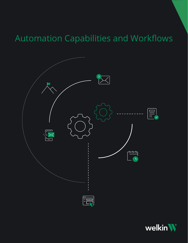# Automation Capabilities and Workflows



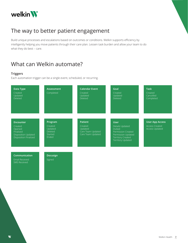

### The way to better patient engagement

Build unique processes and escalations based on outcomes or conditions. Welkin supports efficiency by intelligently helping you move patients through their care plan. Lessen task burden and allow your team to do what they do best – care.

### What can Welkin automate?

#### **Triggers**

Each automation trigger can be a single event, scheduled, or recurring.

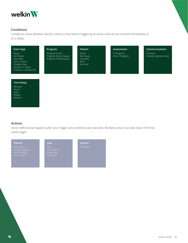

#### **Conditions**

Conditions check whether specific criteria is met before triggering an action and can be checked immediately or on a delay.

| Data Type                                                                                                      | Program                                                         | <b>Patient</b>                                      | Assessment                     | <b>Communications</b>              |
|----------------------------------------------------------------------------------------------------------------|-----------------------------------------------------------------|-----------------------------------------------------|--------------------------------|------------------------------------|
| Equal<br>Not Equal<br>Less than<br>Less or Equal<br>Greater than<br>Greater or Equal<br>Contains, Contains All | Program Exists<br>Program Status Equals<br>Program Phase Equals | Equal<br>Not Equal<br>Contains<br>Null.<br>Not Null | In Progress<br>Not in Progress | Contains<br>Contains (Ignore Case) |

#### **Time Delay**

Minutes Hours Days Weeks Months

#### **Actions**

Action define what happens after your trigger and conditions are executed. Multiple actions can take place off of the same trigger.

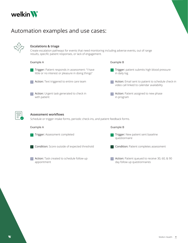

### Automation examples and use cases:



#### **Escalations & triage**

Create escalation pathways for events that need monitoring including adverse events, out of range results, specific patient responses, or lack of engagement.

#### Example A Example B



**Trigger:** Patient responds in assessment: "I have little or no interest or pleasure in doing things"



Action: Urgent task generated to check in with patient 3

**Trigger:** patient submits high blood pressure in daily log

2 **Action:** Email sent to patient to schedule check-in video call linked to calendar availability

**Action:** Patient assigned to new phase in program



#### **Assessment workflows**

Schedule or trigger intake forms, periodic check-ins, and patient feedback forms.

| Example A                                                   | Example B                                                                                                 |
|-------------------------------------------------------------|-----------------------------------------------------------------------------------------------------------|
| Trigger: Assessment completed<br>$\overline{1}$             | Trigger: New patient sent baseline<br>$\mathbf{1}$<br>questionnaire                                       |
| 2 Condition: Score outside of expected threshold            | 2 Condition: Patient completes assessment                                                                 |
| 3 Action: Task created to schedule follow-up<br>appointment | Action: Patient queued to receive 30, 60, & 90<br>$\overline{\mathbf{3}}$<br>day follow up questionnaires |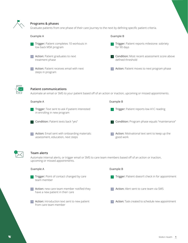

#### **Programs & phases**

Graduate patients from one phase of their care journey to the next by defining specific patient criteria.

| Example A                                                                                                                                      | Example B                                                          |
|------------------------------------------------------------------------------------------------------------------------------------------------|--------------------------------------------------------------------|
| Trigger: Patient completes 10 workouts in<br>low back MSK program                                                                              | Trigger: Patient reports milestone: sobriety<br>for 90 days        |
| Action: Patient graduates to next<br>treatment phase                                                                                           | Condition: Most recent assessment score above<br>defined threshold |
| Action: Patient receives email with next<br>steps in program                                                                                   | Action: Patient moves to next program phase                        |
| <b>Patient communications</b><br>Automate an email or SMS to your patient based off of an action or inaction, upcoming or missed appointments. |                                                                    |
| Example A                                                                                                                                      | Example B                                                          |
| Trigger: Text sent to ask if patient interested<br>in enrolling in new program                                                                 | Trigger: Patient reports low A1C reading                           |
| Condition: Patient texts back "yes"                                                                                                            | Condition: Program phase equals "maintenance"                      |

**Action:** Motivational text sent to keep up the good work



#### **Team alerts**

**Action:** Email sent with onboarding materials:

assessment, education, next steps

Automate internal alerts, or trigger email or SMS to care team members based off of an action or inaction, upcoming or missed appointments.

| Example A                                                                                         | Example B                                                                   |
|---------------------------------------------------------------------------------------------------|-----------------------------------------------------------------------------|
| Trigger: Point of contact changed by care<br>team member                                          | Trigger: Patient doesn't check in for appointment                           |
| Action: new care team member notified they<br>$\overline{2}$<br>have a new patient in their care  | Action: Alert sent to care team via SMS<br>$\overline{2}$                   |
| Action: introduction text sent to new patient<br>$\overline{\mathbf{3}}$<br>from care team member | Action: Task created to schedule new appointment<br>$\overline{\mathbf{3}}$ |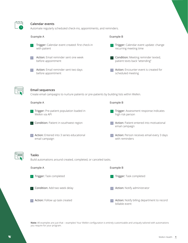

#### **Calendar events**

3 **Action:** Follow up task created

Automate regularly scheduled check-ins, appointments, and reminders.

| Automate regularly scrieduled crieck-mis, appointments, and reminders.                                                |                                                                       |  |  |  |
|-----------------------------------------------------------------------------------------------------------------------|-----------------------------------------------------------------------|--|--|--|
| Example A                                                                                                             | Example B                                                             |  |  |  |
| Trigger: Calendar event created: first check-in<br>with patient                                                       | Trigger: Calendar event update: change<br>recurring meeting time      |  |  |  |
| Action: Email reminder sent one week<br>before appointment                                                            | Condition: Meeting reminder texted,<br>patient texts back "attending" |  |  |  |
| Action: Email reminder sent two days<br>$\overline{\mathbf{3}}$<br>before appointment                                 | Action: Encounter event is created for<br>scheduled meeting           |  |  |  |
| <b>Email sequences</b><br>Create email campaigns to nurture patients or pre-patients by building lists within Welkin. |                                                                       |  |  |  |
| Example A                                                                                                             | Example B                                                             |  |  |  |
| Trigger: Pre-patient population loaded in<br>Welkin via API                                                           | Trigger: Assessment response indicates<br>high risk person            |  |  |  |
| 2 Condition: Patient in southwest region                                                                              | Action: Patient entered into motivational<br>email campaign           |  |  |  |
| Action: Entered into 3 series educational<br>email campaign                                                           | Action: Person receives email every 3 days<br>with reminders          |  |  |  |
| <b>Tasks</b><br>Build automations around created, completed, or canceled tasks.                                       |                                                                       |  |  |  |
| Example A                                                                                                             | Example B                                                             |  |  |  |
| Trigger: Task completed                                                                                               | Trigger: Task completed                                               |  |  |  |
| Condition: Add two week delay                                                                                         | Action: Notify administrator                                          |  |  |  |

**Action:** Notify billing department to record billable event

**Note:** All examples are just that – examples! Your Welkin configuration is entirely customizable and uniquely tailored with automations you require for your program.